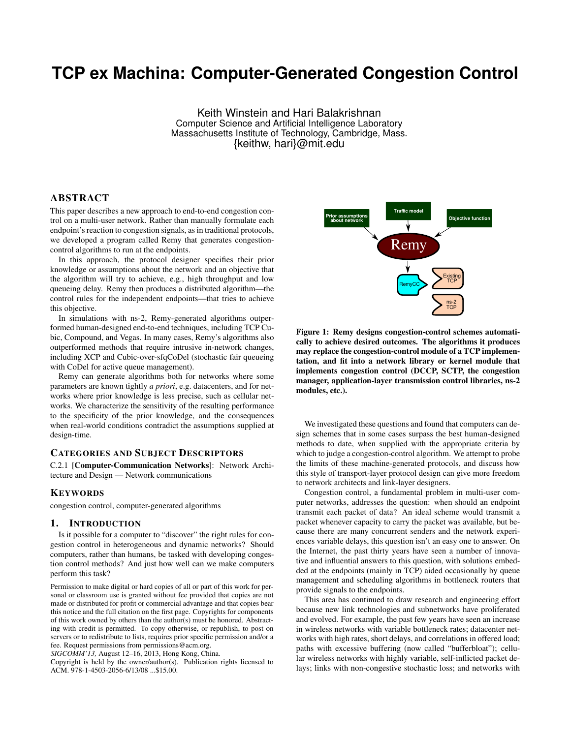# **TCP ex Machina: Computer-Generated Congestion Control**

Keith Winstein and Hari Balakrishnan Computer Science and Artificial Intelligence Laboratory Massachusetts Institute of Technology, Cambridge, Mass. {keithw, hari}@mit.edu

# ABSTRACT

This paper describes a new approach to end-to-end congestion control on a multi-user network. Rather than manually formulate each endpoint's reaction to congestion signals, as in traditional protocols, we developed a program called Remy that generates congestioncontrol algorithms to run at the endpoints.

In this approach, the protocol designer specifies their prior knowledge or assumptions about the network and an objective that the algorithm will try to achieve, e.g., high throughput and low queueing delay. Remy then produces a distributed algorithm—the control rules for the independent endpoints—that tries to achieve this objective.

In simulations with ns-2, Remy-generated algorithms outperformed human-designed end-to-end techniques, including TCP Cubic, Compound, and Vegas. In many cases, Remy's algorithms also outperformed methods that require intrusive in-network changes, including XCP and Cubic-over-sfqCoDel (stochastic fair queueing with CoDel for active queue management).

Remy can generate algorithms both for networks where some parameters are known tightly *a priori*, e.g. datacenters, and for networks where prior knowledge is less precise, such as cellular networks. We characterize the sensitivity of the resulting performance to the specificity of the prior knowledge, and the consequences when real-world conditions contradict the assumptions supplied at design-time.

## CATEGORIES AND SUBJECT DESCRIPTORS

C.2.1 [Computer-Communication Networks]: Network Architecture and Design — Network communications

#### KEYWORDS

congestion control, computer-generated algorithms

#### 1. INTRODUCTION

Is it possible for a computer to "discover" the right rules for congestion control in heterogeneous and dynamic networks? Should computers, rather than humans, be tasked with developing congestion control methods? And just how well can we make computers perform this task?

Permission to make digital or hard copies of all or part of this work for personal or classroom use is granted without fee provided that copies are not made or distributed for profit or commercial advantage and that copies bear this notice and the full citation on the first page. Copyrights for components of this work owned by others than the author(s) must be honored. Abstracting with credit is permitted. To copy otherwise, or republish, to post on servers or to redistribute to lists, requires prior specific permission and/or a fee. Request permissions from permissions@acm.org.

*SIGCOMM'13,* August 12–16, 2013, Hong Kong, China.

Copyright is held by the owner/author(s). Publication rights licensed to ACM. 978-1-4503-2056-6/13/08 ...\$15.00.



Figure 1: Remy designs congestion-control schemes automatically to achieve desired outcomes. The algorithms it produces may replace the congestion-control module of a TCP implementation, and fit into a network library or kernel module that implements congestion control (DCCP, SCTP, the congestion manager, application-layer transmission control libraries, ns-2 modules, etc.).

We investigated these questions and found that computers can design schemes that in some cases surpass the best human-designed methods to date, when supplied with the appropriate criteria by which to judge a congestion-control algorithm. We attempt to probe the limits of these machine-generated protocols, and discuss how this style of transport-layer protocol design can give more freedom to network architects and link-layer designers.

Congestion control, a fundamental problem in multi-user computer networks, addresses the question: when should an endpoint transmit each packet of data? An ideal scheme would transmit a packet whenever capacity to carry the packet was available, but because there are many concurrent senders and the network experiences variable delays, this question isn't an easy one to answer. On the Internet, the past thirty years have seen a number of innovative and influential answers to this question, with solutions embedded at the endpoints (mainly in TCP) aided occasionally by queue management and scheduling algorithms in bottleneck routers that provide signals to the endpoints.

This area has continued to draw research and engineering effort because new link technologies and subnetworks have proliferated and evolved. For example, the past few years have seen an increase in wireless networks with variable bottleneck rates; datacenter networks with high rates, short delays, and correlations in offered load; paths with excessive buffering (now called "bufferbloat"); cellular wireless networks with highly variable, self-inflicted packet delays; links with non-congestive stochastic loss; and networks with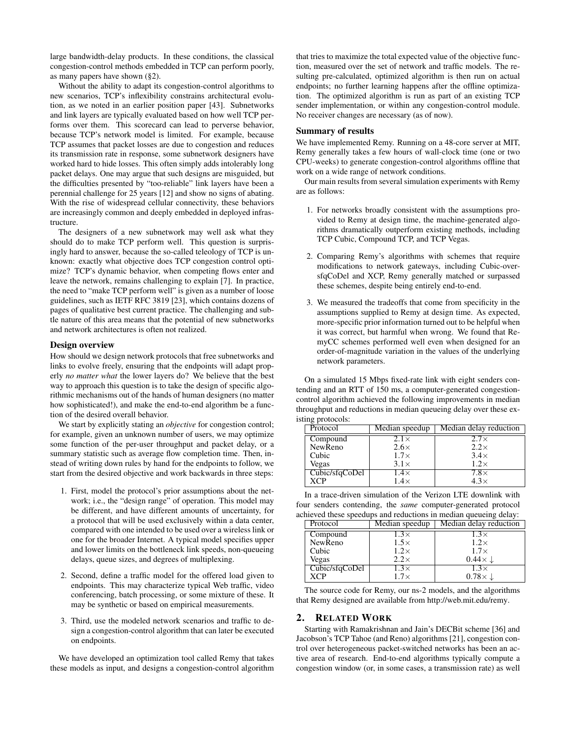large bandwidth-delay products. In these conditions, the classical congestion-control methods embedded in TCP can perform poorly, as many papers have shown ([§2\)](#page-1-0).

Without the ability to adapt its congestion-control algorithms to new scenarios, TCP's inflexibility constrains architectural evolution, as we noted in an earlier position paper [\[43\]](#page-11-0). Subnetworks and link layers are typically evaluated based on how well TCP performs over them. This scorecard can lead to perverse behavior, because TCP's network model is limited. For example, because TCP assumes that packet losses are due to congestion and reduces its transmission rate in response, some subnetwork designers have worked hard to hide losses. This often simply adds intolerably long packet delays. One may argue that such designs are misguided, but the difficulties presented by "too-reliable" link layers have been a perennial challenge for 25 years [\[12\]](#page-11-1) and show no signs of abating. With the rise of widespread cellular connectivity, these behaviors are increasingly common and deeply embedded in deployed infrastructure.

The designers of a new subnetwork may well ask what they should do to make TCP perform well. This question is surprisingly hard to answer, because the so-called teleology of TCP is unknown: exactly what objective does TCP congestion control optimize? TCP's dynamic behavior, when competing flows enter and leave the network, remains challenging to explain [\[7\]](#page-11-2). In practice, the need to "make TCP perform well" is given as a number of loose guidelines, such as IETF RFC 3819 [\[23\]](#page-11-3), which contains dozens of pages of qualitative best current practice. The challenging and subtle nature of this area means that the potential of new subnetworks and network architectures is often not realized.

#### Design overview

How should we design network protocols that free subnetworks and links to evolve freely, ensuring that the endpoints will adapt properly *no matter what* the lower layers do? We believe that the best way to approach this question is to take the design of specific algorithmic mechanisms out of the hands of human designers (no matter how sophisticated!), and make the end-to-end algorithm be a function of the desired overall behavior.

We start by explicitly stating an *objective* for congestion control; for example, given an unknown number of users, we may optimize some function of the per-user throughput and packet delay, or a summary statistic such as average flow completion time. Then, instead of writing down rules by hand for the endpoints to follow, we start from the desired objective and work backwards in three steps:

- 1. First, model the protocol's prior assumptions about the network; i.e., the "design range" of operation. This model may be different, and have different amounts of uncertainty, for a protocol that will be used exclusively within a data center, compared with one intended to be used over a wireless link or one for the broader Internet. A typical model specifies upper and lower limits on the bottleneck link speeds, non-queueing delays, queue sizes, and degrees of multiplexing.
- 2. Second, define a traffic model for the offered load given to endpoints. This may characterize typical Web traffic, video conferencing, batch processing, or some mixture of these. It may be synthetic or based on empirical measurements.
- 3. Third, use the modeled network scenarios and traffic to design a congestion-control algorithm that can later be executed on endpoints.

We have developed an optimization tool called Remy that takes these models as input, and designs a congestion-control algorithm

that tries to maximize the total expected value of the objective function, measured over the set of network and traffic models. The resulting pre-calculated, optimized algorithm is then run on actual endpoints; no further learning happens after the offline optimization. The optimized algorithm is run as part of an existing TCP sender implementation, or within any congestion-control module. No receiver changes are necessary (as of now).

#### Summary of results

We have implemented Remy. Running on a 48-core server at MIT, Remy generally takes a few hours of wall-clock time (one or two CPU-weeks) to generate congestion-control algorithms offline that work on a wide range of network conditions.

Our main results from several simulation experiments with Remy are as follows:

- 1. For networks broadly consistent with the assumptions provided to Remy at design time, the machine-generated algorithms dramatically outperform existing methods, including TCP Cubic, Compound TCP, and TCP Vegas.
- 2. Comparing Remy's algorithms with schemes that require modifications to network gateways, including Cubic-oversfqCoDel and XCP, Remy generally matched or surpassed these schemes, despite being entirely end-to-end.
- 3. We measured the tradeoffs that come from specificity in the assumptions supplied to Remy at design time. As expected, more-specific prior information turned out to be helpful when it was correct, but harmful when wrong. We found that RemyCC schemes performed well even when designed for an order-of-magnitude variation in the values of the underlying network parameters.

On a simulated 15 Mbps fixed-rate link with eight senders contending and an RTT of 150 ms, a computer-generated congestioncontrol algorithm achieved the following improvements in median throughput and reductions in median queueing delay over these existing protocols:

| Protocol       | Median speedup | Median delay reduction |
|----------------|----------------|------------------------|
| Compound       | 2.IX           |                        |
| NewReno        | $2.6\times$    | $2.2\times$            |
| Cubic          | $1.7\times$    | $3.4\times$            |
| Vegas          | $3.1\times$    | $1.2\times$            |
| Cubic/sfqCoDel | $1.4\times$    | 7.8 $\times$           |
| KCP            | $1.4\times$    | $4.3\times$            |

In a trace-driven simulation of the Verizon LTE downlink with four senders contending, the *same* computer-generated protocol achieved these speedups and reductions in median queueing delay:

| Protocol       | Median speedup | Median delay reduction |  |
|----------------|----------------|------------------------|--|
| Compound       | $.3\times$     | $.3\times$             |  |
| NewReno        | $1.5\times$    | $1.2\times$            |  |
| Cubic          | $1.2\times$    | $1.7\times$            |  |
| Vegas          | $2.2\times$    | $0.44 \times 1$        |  |
| Cubic/sfqCoDel | $1.3\times$    | $1.3\times$            |  |
| XCP            | $1.7\times$    | $0.78\times$ .         |  |

The source code for Remy, our ns-2 models, and the algorithms that Remy designed are available from [http://web.mit.edu/remy.](http://web.mit.edu/remy)

## <span id="page-1-0"></span>2. RELATED WORK

Starting with Ramakrishnan and Jain's DECBit scheme [\[36\]](#page-11-4) and Jacobson's TCP Tahoe (and Reno) algorithms [\[21\]](#page-11-5), congestion control over heterogeneous packet-switched networks has been an active area of research. End-to-end algorithms typically compute a congestion window (or, in some cases, a transmission rate) as well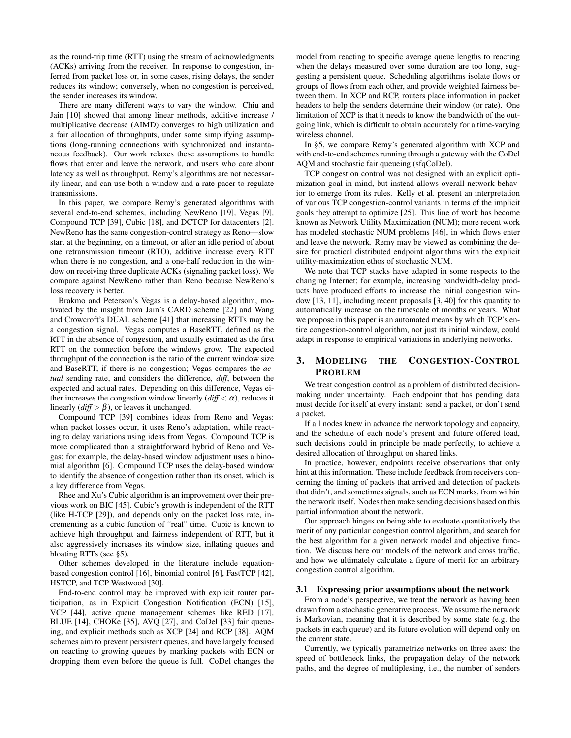as the round-trip time (RTT) using the stream of acknowledgments (ACKs) arriving from the receiver. In response to congestion, inferred from packet loss or, in some cases, rising delays, the sender reduces its window; conversely, when no congestion is perceived, the sender increases its window.

There are many different ways to vary the window. Chiu and Jain [\[10\]](#page-11-6) showed that among linear methods, additive increase / multiplicative decrease (AIMD) converges to high utilization and a fair allocation of throughputs, under some simplifying assumptions (long-running connections with synchronized and instantaneous feedback). Our work relaxes these assumptions to handle flows that enter and leave the network, and users who care about latency as well as throughput. Remy's algorithms are not necessarily linear, and can use both a window and a rate pacer to regulate transmissions.

In this paper, we compare Remy's generated algorithms with several end-to-end schemes, including NewReno [\[19\]](#page-11-7), Vegas [\[9\]](#page-11-8), Compound TCP [\[39\]](#page-11-9), Cubic [\[18\]](#page-11-10), and DCTCP for datacenters [\[2\]](#page-11-11). NewReno has the same congestion-control strategy as Reno—slow start at the beginning, on a timeout, or after an idle period of about one retransmission timeout (RTO), additive increase every RTT when there is no congestion, and a one-half reduction in the window on receiving three duplicate ACKs (signaling packet loss). We compare against NewReno rather than Reno because NewReno's loss recovery is better.

Brakmo and Peterson's Vegas is a delay-based algorithm, motivated by the insight from Jain's CARD scheme [\[22\]](#page-11-12) and Wang and Crowcroft's DUAL scheme [\[41\]](#page-11-13) that increasing RTTs may be a congestion signal. Vegas computes a BaseRTT, defined as the RTT in the absence of congestion, and usually estimated as the first RTT on the connection before the windows grow. The expected throughput of the connection is the ratio of the current window size and BaseRTT, if there is no congestion; Vegas compares the *actual* sending rate, and considers the difference, *diff*, between the expected and actual rates. Depending on this difference, Vegas either increases the congestion window linearly  $\left(\frac{diff}{\alpha}\right)$ , reduces it linearly  $\left(\text{diff} > \beta\right)$ , or leaves it unchanged.

Compound TCP [\[39\]](#page-11-9) combines ideas from Reno and Vegas: when packet losses occur, it uses Reno's adaptation, while reacting to delay variations using ideas from Vegas. Compound TCP is more complicated than a straightforward hybrid of Reno and Vegas; for example, the delay-based window adjustment uses a binomial algorithm [\[6\]](#page-11-14). Compound TCP uses the delay-based window to identify the absence of congestion rather than its onset, which is a key difference from Vegas.

Rhee and Xu's Cubic algorithm is an improvement over their previous work on BIC [\[45\]](#page-11-15). Cubic's growth is independent of the RTT (like H-TCP [\[29\]](#page-11-16)), and depends only on the packet loss rate, incrementing as a cubic function of "real" time. Cubic is known to achieve high throughput and fairness independent of RTT, but it also aggressively increases its window size, inflating queues and bloating RTTs (see [§5\)](#page-5-0).

Other schemes developed in the literature include equationbased congestion control [\[16\]](#page-11-17), binomial control [\[6\]](#page-11-14), FastTCP [\[42\]](#page-11-18), HSTCP, and TCP Westwood [\[30\]](#page-11-19).

End-to-end control may be improved with explicit router participation, as in Explicit Congestion Notification (ECN) [\[15\]](#page-11-20), VCP [\[44\]](#page-11-21), active queue management schemes like RED [\[17\]](#page-11-22), BLUE [\[14\]](#page-11-23), CHOKe [\[35\]](#page-11-24), AVQ [\[27\]](#page-11-25), and CoDel [\[33\]](#page-11-26) fair queueing, and explicit methods such as XCP [\[24\]](#page-11-27) and RCP [\[38\]](#page-11-28). AQM schemes aim to prevent persistent queues, and have largely focused on reacting to growing queues by marking packets with ECN or dropping them even before the queue is full. CoDel changes the

model from reacting to specific average queue lengths to reacting when the delays measured over some duration are too long, suggesting a persistent queue. Scheduling algorithms isolate flows or groups of flows from each other, and provide weighted fairness between them. In XCP and RCP, routers place information in packet headers to help the senders determine their window (or rate). One limitation of XCP is that it needs to know the bandwidth of the outgoing link, which is difficult to obtain accurately for a time-varying wireless channel.

In [§5,](#page-5-0) we compare Remy's generated algorithm with XCP and with end-to-end schemes running through a gateway with the CoDel AQM and stochastic fair queueing (sfqCoDel).

TCP congestion control was not designed with an explicit optimization goal in mind, but instead allows overall network behavior to emerge from its rules. Kelly et al. present an interpretation of various TCP congestion-control variants in terms of the implicit goals they attempt to optimize [\[25\]](#page-11-29). This line of work has become known as Network Utility Maximization (NUM); more recent work has modeled stochastic NUM problems [\[46\]](#page-11-30), in which flows enter and leave the network. Remy may be viewed as combining the desire for practical distributed endpoint algorithms with the explicit utility-maximization ethos of stochastic NUM.

We note that TCP stacks have adapted in some respects to the changing Internet; for example, increasing bandwidth-delay products have produced efforts to increase the initial congestion window [\[13,](#page-11-31) [11\]](#page-11-32), including recent proposals [\[3,](#page-11-33) [40\]](#page-11-34) for this quantity to automatically increase on the timescale of months or years. What we propose in this paper is an automated means by which TCP's entire congestion-control algorithm, not just its initial window, could adapt in response to empirical variations in underlying networks.

# 3. MODELING THE CONGESTION-CONTROL PROBLEM

We treat congestion control as a problem of distributed decisionmaking under uncertainty. Each endpoint that has pending data must decide for itself at every instant: send a packet, or don't send a packet.

If all nodes knew in advance the network topology and capacity, and the schedule of each node's present and future offered load, such decisions could in principle be made perfectly, to achieve a desired allocation of throughput on shared links.

In practice, however, endpoints receive observations that only hint at this information. These include feedback from receivers concerning the timing of packets that arrived and detection of packets that didn't, and sometimes signals, such as ECN marks, from within the network itself. Nodes then make sending decisions based on this partial information about the network.

Our approach hinges on being able to evaluate quantitatively the merit of any particular congestion control algorithm, and search for the best algorithm for a given network model and objective function. We discuss here our models of the network and cross traffic, and how we ultimately calculate a figure of merit for an arbitrary congestion control algorithm.

#### 3.1 Expressing prior assumptions about the network

From a node's perspective, we treat the network as having been drawn from a stochastic generative process. We assume the network is Markovian, meaning that it is described by some state (e.g. the packets in each queue) and its future evolution will depend only on the current state.

Currently, we typically parametrize networks on three axes: the speed of bottleneck links, the propagation delay of the network paths, and the degree of multiplexing, i.e., the number of senders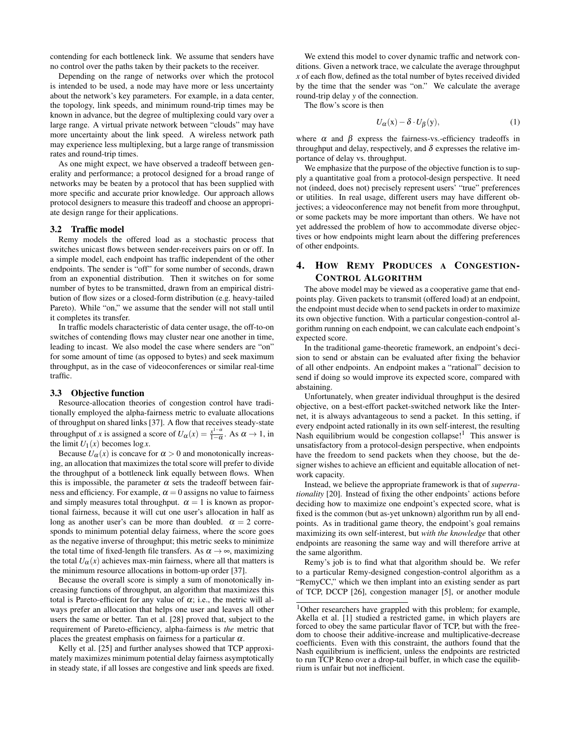contending for each bottleneck link. We assume that senders have no control over the paths taken by their packets to the receiver.

Depending on the range of networks over which the protocol is intended to be used, a node may have more or less uncertainty about the network's key parameters. For example, in a data center, the topology, link speeds, and minimum round-trip times may be known in advance, but the degree of multiplexing could vary over a large range. A virtual private network between "clouds" may have more uncertainty about the link speed. A wireless network path may experience less multiplexing, but a large range of transmission rates and round-trip times.

As one might expect, we have observed a tradeoff between generality and performance; a protocol designed for a broad range of networks may be beaten by a protocol that has been supplied with more specific and accurate prior knowledge. Our approach allows protocol designers to measure this tradeoff and choose an appropriate design range for their applications.

### 3.2 Traffic model

Remy models the offered load as a stochastic process that switches unicast flows between sender-receivers pairs on or off. In a simple model, each endpoint has traffic independent of the other endpoints. The sender is "off" for some number of seconds, drawn from an exponential distribution. Then it switches on for some number of bytes to be transmitted, drawn from an empirical distribution of flow sizes or a closed-form distribution (e.g. heavy-tailed Pareto). While "on," we assume that the sender will not stall until it completes its transfer.

In traffic models characteristic of data center usage, the off-to-on switches of contending flows may cluster near one another in time, leading to incast. We also model the case where senders are "on" for some amount of time (as opposed to bytes) and seek maximum throughput, as in the case of videoconferences or similar real-time traffic.

## 3.3 Objective function

Resource-allocation theories of congestion control have traditionally employed the alpha-fairness metric to evaluate allocations of throughput on shared links [\[37\]](#page-11-35). A flow that receives steady-state throughput of *x* is assigned a score of  $U_{\alpha}(x) = \frac{x^{1-\alpha}}{1-\alpha}$ . As  $\alpha \to 1$ , in the limit  $U_1(x)$  becomes log*x*.

Because  $U_{\alpha}(x)$  is concave for  $\alpha > 0$  and monotonically increasing, an allocation that maximizes the total score will prefer to divide the throughput of a bottleneck link equally between flows. When this is impossible, the parameter  $\alpha$  sets the tradeoff between fairness and efficiency. For example,  $\alpha = 0$  assigns no value to fairness and simply measures total throughput.  $\alpha = 1$  is known as proportional fairness, because it will cut one user's allocation in half as long as another user's can be more than doubled.  $\alpha = 2$  corresponds to minimum potential delay fairness, where the score goes as the negative inverse of throughput; this metric seeks to minimize the total time of fixed-length file transfers. As  $\alpha \rightarrow \infty$ , maximizing the total  $U_{\alpha}(x)$  achieves max-min fairness, where all that matters is the minimum resource allocations in bottom-up order [\[37\]](#page-11-35).

Because the overall score is simply a sum of monotonically increasing functions of throughput, an algorithm that maximizes this total is Pareto-efficient for any value of  $\alpha$ ; i.e., the metric will always prefer an allocation that helps one user and leaves all other users the same or better. Tan et al. [\[28\]](#page-11-36) proved that, subject to the requirement of Pareto-efficiency, alpha-fairness is *the* metric that places the greatest emphasis on fairness for a particular  $\alpha$ .

Kelly et al. [\[25\]](#page-11-29) and further analyses showed that TCP approximately maximizes minimum potential delay fairness asymptotically in steady state, if all losses are congestive and link speeds are fixed.

We extend this model to cover dynamic traffic and network conditions. Given a network trace, we calculate the average throughput *x* of each flow, defined as the total number of bytes received divided by the time that the sender was "on." We calculate the average round-trip delay *y* of the connection.

The flow's score is then

<span id="page-3-1"></span>
$$
U_{\alpha}(\mathbf{x}) - \delta \cdot U_{\beta}(\mathbf{y}),\tag{1}
$$

where  $\alpha$  and  $\beta$  express the fairness-vs.-efficiency tradeoffs in throughput and delay, respectively, and  $\delta$  expresses the relative importance of delay vs. throughput.

We emphasize that the purpose of the objective function is to supply a quantitative goal from a protocol-design perspective. It need not (indeed, does not) precisely represent users' "true" preferences or utilities. In real usage, different users may have different objectives; a videoconference may not benefit from more throughput, or some packets may be more important than others. We have not yet addressed the problem of how to accommodate diverse objectives or how endpoints might learn about the differing preferences of other endpoints.

# 4. HOW REMY PRODUCES A CONGESTION-CONTROL ALGORITHM

The above model may be viewed as a cooperative game that endpoints play. Given packets to transmit (offered load) at an endpoint, the endpoint must decide when to send packets in order to maximize its own objective function. With a particular congestion-control algorithm running on each endpoint, we can calculate each endpoint's expected score.

In the traditional game-theoretic framework, an endpoint's decision to send or abstain can be evaluated after fixing the behavior of all other endpoints. An endpoint makes a "rational" decision to send if doing so would improve its expected score, compared with abstaining.

Unfortunately, when greater individual throughput is the desired objective, on a best-effort packet-switched network like the Internet, it is always advantageous to send a packet. In this setting, if every endpoint acted rationally in its own self-interest, the resulting Nash equilibrium would be congestion collapse!<sup>[1](#page-3-0)</sup> This answer is unsatisfactory from a protocol-design perspective, when endpoints have the freedom to send packets when they choose, but the designer wishes to achieve an efficient and equitable allocation of network capacity.

Instead, we believe the appropriate framework is that of *superrationality* [\[20\]](#page-11-37). Instead of fixing the other endpoints' actions before deciding how to maximize one endpoint's expected score, what is fixed is the common (but as-yet unknown) algorithm run by all endpoints. As in traditional game theory, the endpoint's goal remains maximizing its own self-interest, but *with the knowledge* that other endpoints are reasoning the same way and will therefore arrive at the same algorithm.

Remy's job is to find what that algorithm should be. We refer to a particular Remy-designed congestion-control algorithm as a "RemyCC," which we then implant into an existing sender as part of TCP, DCCP [\[26\]](#page-11-38), congestion manager [\[5\]](#page-11-39), or another module

<span id="page-3-0"></span><sup>&</sup>lt;sup>1</sup>Other researchers have grappled with this problem; for example, Akella et al. [\[1\]](#page-11-40) studied a restricted game, in which players are forced to obey the same particular flavor of TCP, but with the freedom to choose their additive-increase and multiplicative-decrease coefficients. Even with this constraint, the authors found that the Nash equilibrium is inefficient, unless the endpoints are restricted to run TCP Reno over a drop-tail buffer, in which case the equilibrium is unfair but not inefficient.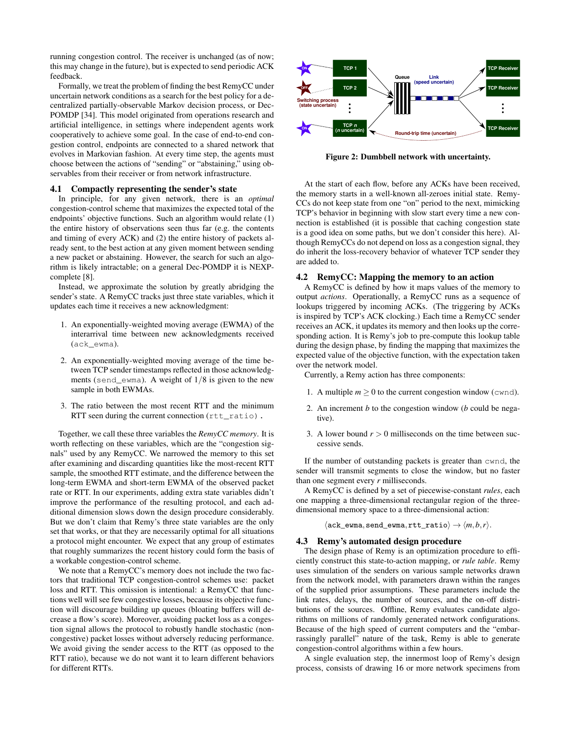running congestion control. The receiver is unchanged (as of now; this may change in the future), but is expected to send periodic ACK feedback.

Formally, we treat the problem of finding the best RemyCC under uncertain network conditions as a search for the best policy for a decentralized partially-observable Markov decision process, or Dec-POMDP [\[34\]](#page-11-41). This model originated from operations research and artificial intelligence, in settings where independent agents work cooperatively to achieve some goal. In the case of end-to-end congestion control, endpoints are connected to a shared network that evolves in Markovian fashion. At every time step, the agents must choose between the actions of "sending" or "abstaining," using observables from their receiver or from network infrastructure.

### 4.1 Compactly representing the sender's state

In principle, for any given network, there is an *optimal* congestion-control scheme that maximizes the expected total of the endpoints' objective functions. Such an algorithm would relate (1) the entire history of observations seen thus far (e.g. the contents and timing of every ACK) and (2) the entire history of packets already sent, to the best action at any given moment between sending a new packet or abstaining. However, the search for such an algorithm is likely intractable; on a general Dec-POMDP it is NEXPcomplete [\[8\]](#page-11-42).

Instead, we approximate the solution by greatly abridging the sender's state. A RemyCC tracks just three state variables, which it updates each time it receives a new acknowledgment:

- 1. An exponentially-weighted moving average (EWMA) of the interarrival time between new acknowledgments received (ack\_ewma).
- 2. An exponentially-weighted moving average of the time between TCP sender timestamps reflected in those acknowledgments (send\_ewma). A weight of  $1/8$  is given to the new sample in both EWMAs.
- 3. The ratio between the most recent RTT and the minimum RTT seen during the current connection (rtt\_ratio).

Together, we call these three variables the *RemyCC memory*. It is worth reflecting on these variables, which are the "congestion signals" used by any RemyCC. We narrowed the memory to this set after examining and discarding quantities like the most-recent RTT sample, the smoothed RTT estimate, and the difference between the long-term EWMA and short-term EWMA of the observed packet rate or RTT. In our experiments, adding extra state variables didn't improve the performance of the resulting protocol, and each additional dimension slows down the design procedure considerably. But we don't claim that Remy's three state variables are the only set that works, or that they are necessarily optimal for all situations a protocol might encounter. We expect that any group of estimates that roughly summarizes the recent history could form the basis of a workable congestion-control scheme. contract and the state of the state of the state of the state of the state of the state of the state of the state of the state of the state of the state of the state of the state of the state of the state of the state of

We note that a RemyCC's memory does not include the two factors that traditional TCP congestion-control schemes use: packet loss and RTT. This omission is intentional: a RemyCC that functions well will see few congestive losses, because its objective function will discourage building up queues (bloating buffers will decrease a flow's score). Moreover, avoiding packet loss as a congestion signal allows the protocol to robustly handle stochastic (noncongestive) packet losses without adversely reducing performance. We avoid giving the sender access to the RTT (as opposed to the RTT ratio), because we do not want it to learn different behaviors



<span id="page-4-0"></span>Figure 2: Dumbbell network with uncertainty.

At the start of each flow, before any ACKs have been received, the memory starts in a well-known all-zeroes initial state. Remy-CCs do not keep state from one "on" period to the next, mimicking TCP's behavior in beginning with slow start every time a new connection is established (it is possible that caching congestion state is a good idea on some paths, but we don't consider this here). Although RemyCCs do not depend on loss as a congestion signal, they do inherit the loss-recovery behavior of whatever TCP sender they are added to.

### 4.2 RemyCC: Mapping the memory to an action

A RemyCC is defined by how it maps values of the memory to output *actions*. Operationally, a RemyCC runs as a sequence of lookups triggered by incoming ACKs. (The triggering by ACKs is inspired by TCP's ACK clocking.) Each time a RemyCC sender receives an ACK, it updates its memory and then looks up the corresponding action. It is Remy's job to pre-compute this lookup table during the design phase, by finding the mapping that maximizes the expected value of the objective function, with the expectation taken over the network model.

Currently, a Remy action has three components:

- 1. A multiple  $m \geq 0$  to the current congestion window (cwnd).
- 2. An increment *b* to the congestion window (*b* could be negative).
- 3. A lower bound  $r > 0$  milliseconds on the time between successive sends.

If the number of outstanding packets is greater than cwnd, the sender will transmit segments to close the window, but no faster than one segment every *r* milliseconds.

A RemyCC is defined by a set of piecewise-constant *rules*, each one mapping a three-dimensional rectangular region of the threedimensional memory space to a three-dimensional action:

 $\langle$ ack\_ewma,send\_ewma,rtt\_ratio)  $\rightarrow \langle m, b, r \rangle$ .

#### 4.3 Remy's automated design procedure

The design phase of Remy is an optimization procedure to efficiently construct this state-to-action mapping, or *rule table*. Remy uses simulation of the senders on various sample networks drawn from the network model, with parameters drawn within the ranges of the supplied prior assumptions. These parameters include the link rates, delays, the number of sources, and the on-off distributions of the sources. Offline, Remy evaluates candidate algorithms on millions of randomly generated network configurations. Because of the high speed of current computers and the "embarrassingly parallel" nature of the task, Remy is able to generate congestion-control algorithms within a few hours.

A single evaluation step, the innermost loop of Remy's design process, consists of drawing 16 or more network specimens from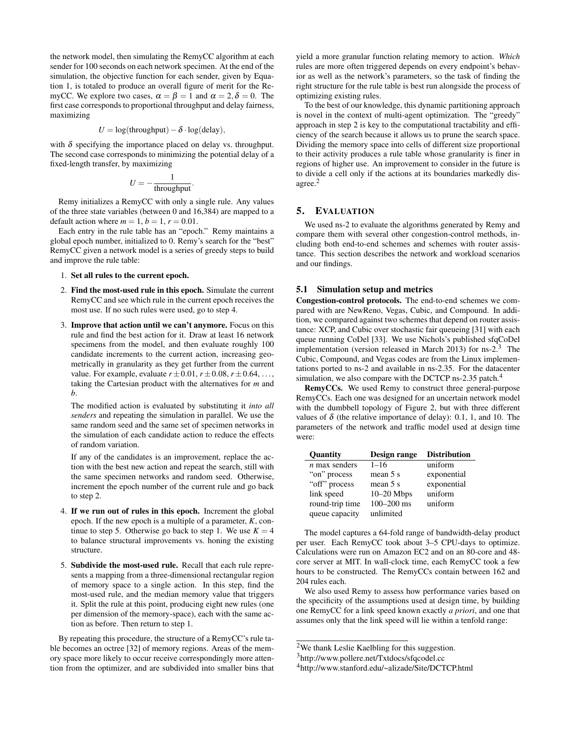the network model, then simulating the RemyCC algorithm at each sender for 100 seconds on each network specimen. At the end of the simulation, the objective function for each sender, given by Equation [1,](#page-3-1) is totaled to produce an overall figure of merit for the RemyCC. We explore two cases,  $\alpha = \beta = 1$  and  $\alpha = 2, \delta = 0$ . The first case corresponds to proportional throughput and delay fairness, maximizing

$$
U = \log(\text{throughput}) - \delta \cdot \log(\text{delay}),
$$

with  $\delta$  specifying the importance placed on delay vs. throughput. The second case corresponds to minimizing the potential delay of a fixed-length transfer, by maximizing

$$
U = -\frac{1}{\text{throughput}}.
$$

Remy initializes a RemyCC with only a single rule. Any values of the three state variables (between 0 and 16,384) are mapped to a default action where  $m = 1$ ,  $b = 1$ ,  $r = 0.01$ .

Each entry in the rule table has an "epoch." Remy maintains a global epoch number, initialized to 0. Remy's search for the "best" RemyCC given a network model is a series of greedy steps to build and improve the rule table:

## 1. Set all rules to the current epoch.

- 2. Find the most-used rule in this epoch. Simulate the current RemyCC and see which rule in the current epoch receives the most use. If no such rules were used, go to step 4.
- 3. Improve that action until we can't anymore. Focus on this rule and find the best action for it. Draw at least 16 network specimens from the model, and then evaluate roughly 100 candidate increments to the current action, increasing geometrically in granularity as they get further from the current value. For example, evaluate  $r \pm 0.01$ ,  $r \pm 0.08$ ,  $r \pm 0.64$ , ..., taking the Cartesian product with the alternatives for *m* and *b*.

The modified action is evaluated by substituting it *into all senders* and repeating the simulation in parallel. We use the same random seed and the same set of specimen networks in the simulation of each candidate action to reduce the effects of random variation.

If any of the candidates is an improvement, replace the action with the best new action and repeat the search, still with the same specimen networks and random seed. Otherwise, increment the epoch number of the current rule and go back to step 2.

- 4. If we run out of rules in this epoch. Increment the global epoch. If the new epoch is a multiple of a parameter, *K*, continue to step 5. Otherwise go back to step 1. We use  $K = 4$ to balance structural improvements vs. honing the existing structure.
- 5. Subdivide the most-used rule. Recall that each rule represents a mapping from a three-dimensional rectangular region of memory space to a single action. In this step, find the most-used rule, and the median memory value that triggers it. Split the rule at this point, producing eight new rules (one per dimension of the memory-space), each with the same action as before. Then return to step 1.

By repeating this procedure, the structure of a RemyCC's rule table becomes an octree [\[32\]](#page-11-43) of memory regions. Areas of the memory space more likely to occur receive correspondingly more attention from the optimizer, and are subdivided into smaller bins that yield a more granular function relating memory to action. *Which* rules are more often triggered depends on every endpoint's behavior as well as the network's parameters, so the task of finding the right structure for the rule table is best run alongside the process of optimizing existing rules.

To the best of our knowledge, this dynamic partitioning approach is novel in the context of multi-agent optimization. The "greedy" approach in step 2 is key to the computational tractability and efficiency of the search because it allows us to prune the search space. Dividing the memory space into cells of different size proportional to their activity produces a rule table whose granularity is finer in regions of higher use. An improvement to consider in the future is to divide a cell only if the actions at its boundaries markedly dis-agree.<sup>[2](#page-5-1)</sup>

## <span id="page-5-0"></span>5. EVALUATION

We used ns-2 to evaluate the algorithms generated by Remy and compare them with several other congestion-control methods, including both end-to-end schemes and schemes with router assistance. This section describes the network and workload scenarios and our findings.

#### 5.1 Simulation setup and metrics

Congestion-control protocols. The end-to-end schemes we compared with are NewReno, Vegas, Cubic, and Compound. In addition, we compared against two schemes that depend on router assistance: XCP, and Cubic over stochastic fair queueing [\[31\]](#page-11-44) with each queue running CoDel [\[33\]](#page-11-26). We use Nichols's published sfqCoDel implementation (version released in March 201[3](#page-5-2)) for  $ns-2<sup>3</sup>$ . The Cubic, Compound, and Vegas codes are from the Linux implementations ported to ns-2 and available in ns-2.35. For the datacenter simulation, we also compare with the DCTCP ns-2.35 patch.<sup>[4](#page-5-3)</sup>

RemyCCs. We used Remy to construct three general-purpose RemyCCs. Each one was designed for an uncertain network model with the dumbbell topology of Figure [2,](#page-4-0) but with three different values of  $\delta$  (the relative importance of delay): 0.1, 1, and 10. The parameters of the network and traffic model used at design time were:

| <b>Ouantity</b> | Design range   | <b>Distribution</b> |
|-----------------|----------------|---------------------|
| $n$ max senders | $1 - 16$       | uniform             |
| "on" process    | mean 5 s       | exponential         |
| "off" process   | mean 5 s       | exponential         |
| link speed      | $10-20$ Mbps   | uniform             |
| round-trip time | $100 - 200$ ms | uniform             |
| queue capacity  | unlimited      |                     |

The model captures a 64-fold range of bandwidth-delay product per user. Each RemyCC took about 3–5 CPU-days to optimize. Calculations were run on Amazon EC2 and on an 80-core and 48 core server at MIT. In wall-clock time, each RemyCC took a few hours to be constructed. The RemyCCs contain between 162 and 204 rules each.

We also used Remy to assess how performance varies based on the specificity of the assumptions used at design time, by building one RemyCC for a link speed known exactly *a priori*, and one that assumes only that the link speed will lie within a tenfold range:

<span id="page-5-1"></span><sup>2</sup>We thank Leslie Kaelbling for this suggestion.

<span id="page-5-2"></span><sup>3</sup><http://www.pollere.net/Txtdocs/sfqcodel.cc>

<span id="page-5-3"></span><sup>4</sup><http://www.stanford.edu/~alizade/Site/DCTCP.html>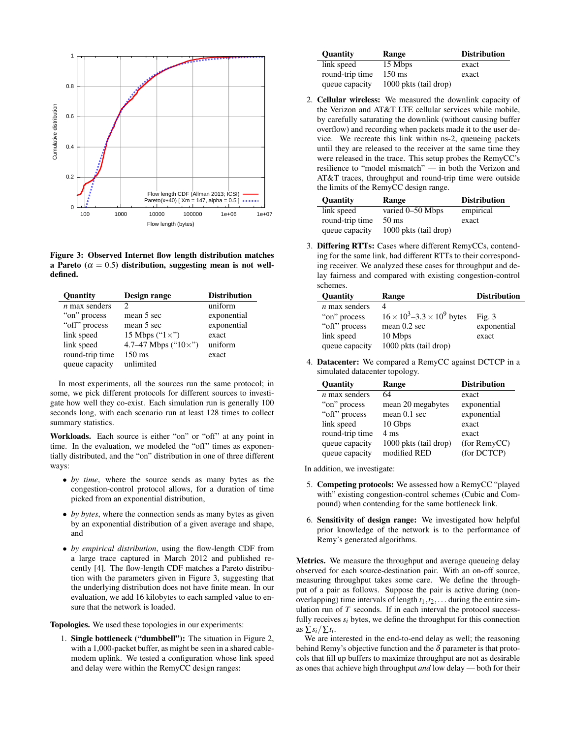

<span id="page-6-0"></span>Figure 3: Observed Internet flow length distribution matches a Pareto ( $\alpha = 0.5$ ) distribution, suggesting mean is not welldefined.

| <b>Quantity</b> | Design range                  | <b>Distribution</b> |
|-----------------|-------------------------------|---------------------|
| $n$ max senders | っ                             | uniform             |
| "on" process    | mean 5 sec                    | exponential         |
| "off" process   | mean 5 sec                    | exponential         |
| link speed      | 15 Mbps $("1×")$              | exact               |
| link speed      | 4.7–47 Mbps (" $10 \times$ ") | uniform             |
| round-trip time | $150 \text{ ms}$              | exact               |
| queue capacity  | unlimited                     |                     |

In most experiments, all the sources run the same protocol; in some, we pick different protocols for different sources to investigate how well they co-exist. Each simulation run is generally 100 seconds long, with each scenario run at least 128 times to collect summary statistics.

Workloads. Each source is either "on" or "off" at any point in time. In the evaluation, we modeled the "off" times as exponentially distributed, and the "on" distribution in one of three different ways:

- *by time*, where the source sends as many bytes as the congestion-control protocol allows, for a duration of time picked from an exponential distribution,
- *by bytes*, where the connection sends as many bytes as given by an exponential distribution of a given average and shape, and
- *by empirical distribution*, using the flow-length CDF from a large trace captured in March 2012 and published recently [\[4\]](#page-11-45). The flow-length CDF matches a Pareto distribution with the parameters given in Figure [3,](#page-6-0) suggesting that the underlying distribution does not have finite mean. In our evaluation, we add 16 kilobytes to each sampled value to ensure that the network is loaded.

Topologies. We used these topologies in our experiments:

1. Single bottleneck ("dumbbell"): The situation in Figure [2,](#page-4-0) with a 1,000-packet buffer, as might be seen in a shared cablemodem uplink. We tested a configuration whose link speed and delay were within the RemyCC design ranges:

| <b>Ouantity</b> | Range                 | <b>Distribution</b> |
|-----------------|-----------------------|---------------------|
| link speed      | 15 Mbps               | exact               |
| round-trip time | $150 \text{ ms}$      | exact               |
| queue capacity  | 1000 pkts (tail drop) |                     |

2. Cellular wireless: We measured the downlink capacity of the Verizon and AT&T LTE cellular services while mobile, by carefully saturating the downlink (without causing buffer overflow) and recording when packets made it to the user device. We recreate this link within ns-2, queueing packets until they are released to the receiver at the same time they were released in the trace. This setup probes the RemyCC's resilience to "model mismatch" — in both the Verizon and AT&T traces, throughput and round-trip time were outside the limits of the RemyCC design range.

| <b>Ouantity</b> | Range                 | <b>Distribution</b> |
|-----------------|-----------------------|---------------------|
| link speed      | varied 0-50 Mbps      | empirical           |
| round-trip time | $50 \text{ ms}$       | exact               |
| queue capacity  | 1000 pkts (tail drop) |                     |

3. Differing RTTs: Cases where different RemyCCs, contending for the same link, had different RTTs to their corresponding receiver. We analyzed these cases for throughput and delay fairness and compared with existing congestion-control schemes.

| <b>Ouantity</b> | Range                                    | <b>Distribution</b> |
|-----------------|------------------------------------------|---------------------|
| $n$ max senders |                                          |                     |
| "on" process    | $16 \times 10^3 - 3.3 \times 10^9$ bytes | Fig. 3              |
| "off" process   | mean 0.2 sec                             | exponential         |
| link speed      | 10 Mbps                                  | exact               |
| queue capacity  | 1000 pkts (tail drop)                    |                     |

4. Datacenter: We compared a RemyCC against DCTCP in a simulated datacenter topology.

| Quantity        | Range                 | <b>Distribution</b> |
|-----------------|-----------------------|---------------------|
| $n$ max senders | 64                    | exact               |
| "on" process    | mean 20 megabytes     | exponential         |
| "off" process   | mean 0.1 sec          | exponential         |
| link speed      | 10 Gbps               | exact               |
| round-trip time | $4 \text{ ms}$        | exact               |
| queue capacity  | 1000 pkts (tail drop) | (for RemyCC)        |
| queue capacity  | modified RED          | (for DCTCP)         |

In addition, we investigate:

- 5. Competing protocols: We assessed how a RemyCC "played with" existing congestion-control schemes (Cubic and Compound) when contending for the same bottleneck link.
- 6. Sensitivity of design range: We investigated how helpful prior knowledge of the network is to the performance of Remy's generated algorithms.

Metrics. We measure the throughput and average queueing delay observed for each source-destination pair. With an on-off source, measuring throughput takes some care. We define the throughput of a pair as follows. Suppose the pair is active during (nonoverlapping) time intervals of length  $t_1, t_2, \ldots$  during the entire simulation run of *T* seconds. If in each interval the protocol successfully receives  $s_i$  bytes, we define the throughput for this connection as  $\sum s_i / \sum t_i$ .

We are interested in the end-to-end delay as well; the reasoning behind Remy's objective function and the  $\delta$  parameter is that protocols that fill up buffers to maximize throughput are not as desirable as ones that achieve high throughput *and* low delay — both for their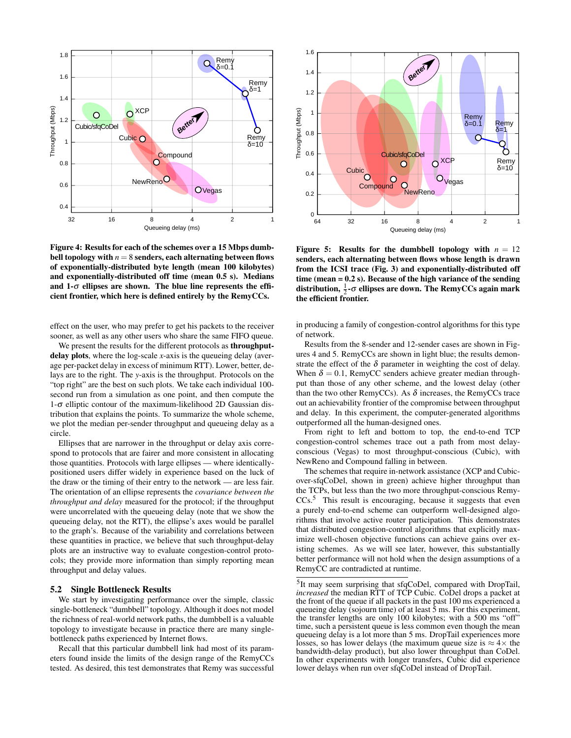

<span id="page-7-0"></span>Figure 4: Results for each of the schemes over a 15 Mbps dumbbell topology with  $n = 8$  senders, each alternating between flows of exponentially-distributed byte length (mean 100 kilobytes) and exponentially-distributed off time (mean 0.5 s). Medians and  $1-\sigma$  ellipses are shown. The blue line represents the efficient frontier, which here is defined entirely by the RemyCCs.

effect on the user, who may prefer to get his packets to the receiver sooner, as well as any other users who share the same FIFO queue.

We present the results for the different protocols as **throughput**delay plots, where the log-scale *x*-axis is the queueing delay (average per-packet delay in excess of minimum RTT). Lower, better, delays are to the right. The *y*-axis is the throughput. Protocols on the "top right" are the best on such plots. We take each individual 100 second run from a simulation as one point, and then compute the 1-σ elliptic contour of the maximum-likelihood 2D Gaussian distribution that explains the points. To summarize the whole scheme, we plot the median per-sender throughput and queueing delay as a circle.

Ellipses that are narrower in the throughput or delay axis correspond to protocols that are fairer and more consistent in allocating those quantities. Protocols with large ellipses — where identicallypositioned users differ widely in experience based on the luck of the draw or the timing of their entry to the network — are less fair. The orientation of an ellipse represents the *covariance between the throughput and delay* measured for the protocol; if the throughput were uncorrelated with the queueing delay (note that we show the queueing delay, not the RTT), the ellipse's axes would be parallel to the graph's. Because of the variability and correlations between these quantities in practice, we believe that such throughput-delay plots are an instructive way to evaluate congestion-control protocols; they provide more information than simply reporting mean throughput and delay values.

#### 5.2 Single Bottleneck Results

We start by investigating performance over the simple, classic single-bottleneck "dumbbell" topology. Although it does not model the richness of real-world network paths, the dumbbell is a valuable topology to investigate because in practice there are many singlebottleneck paths experienced by Internet flows.

Recall that this particular dumbbell link had most of its parameters found inside the limits of the design range of the RemyCCs tested. As desired, this test demonstrates that Remy was successful



<span id="page-7-1"></span>Figure 5: Results for the dumbbell topology with  $n = 12$ senders, each alternating between flows whose length is drawn from the ICSI trace (Fig. [3\)](#page-6-0) and exponentially-distributed off time (mean  $= 0.2$  s). Because of the high variance of the sending distribution,  $\frac{1}{2}$ - $\sigma$  ellipses are down. The RemyCCs again mark the efficient frontier.

in producing a family of congestion-control algorithms for this type of network.

Results from the 8-sender and 12-sender cases are shown in Figures [4](#page-7-0) and [5.](#page-7-1) RemyCCs are shown in light blue; the results demonstrate the effect of the  $\delta$  parameter in weighting the cost of delay. When  $\delta = 0.1$ , RemyCC senders achieve greater median throughput than those of any other scheme, and the lowest delay (other than the two other RemyCCs). As  $\delta$  increases, the RemyCCs trace out an achievability frontier of the compromise between throughput and delay. In this experiment, the computer-generated algorithms outperformed all the human-designed ones.

From right to left and bottom to top, the end-to-end TCP congestion-control schemes trace out a path from most delayconscious (Vegas) to most throughput-conscious (Cubic), with NewReno and Compound falling in between.

The schemes that require in-network assistance (XCP and Cubicover-sfqCoDel, shown in green) achieve higher throughput than the TCPs, but less than the two more throughput-conscious Remy-CCs.[5](#page-7-2) This result is encouraging, because it suggests that even a purely end-to-end scheme can outperform well-designed algorithms that involve active router participation. This demonstrates that distributed congestion-control algorithms that explicitly maximize well-chosen objective functions can achieve gains over existing schemes. As we will see later, however, this substantially better performance will not hold when the design assumptions of a RemyCC are contradicted at runtime.

<span id="page-7-2"></span><sup>&</sup>lt;sup>5</sup>It may seem surprising that sfqCoDel, compared with DropTail, *increased* the median RTT of TCP Cubic. CoDel drops a packet at the front of the queue if all packets in the past 100 ms experienced a queueing delay (sojourn time) of at least 5 ms. For this experiment, the transfer lengths are only 100 kilobytes; with a 500 ms "off" time, such a persistent queue is less common even though the mean queueing delay is a lot more than 5 ms. DropTail experiences more losses, so has lower delays (the maximum queue size is  $\approx 4 \times$  the bandwidth-delay product), but also lower throughput than CoDel. In other experiments with longer transfers, Cubic did experience lower delays when run over sfqCoDel instead of DropTail.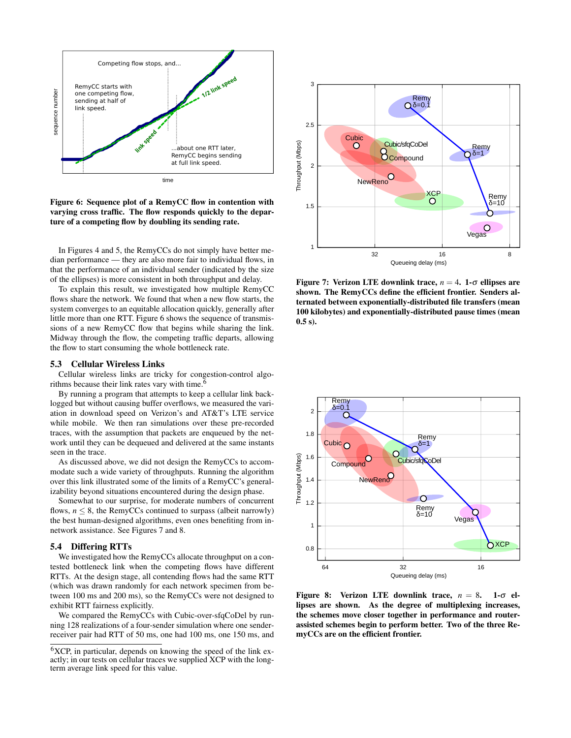

<span id="page-8-0"></span>Figure 6: Sequence plot of a RemyCC flow in contention with varying cross traffic. The flow responds quickly to the departure of a competing flow by doubling its sending rate.

In Figures [4](#page-7-0) and [5,](#page-7-1) the RemyCCs do not simply have better median performance — they are also more fair to individual flows, in that the performance of an individual sender (indicated by the size of the ellipses) is more consistent in both throughput and delay.

To explain this result, we investigated how multiple RemyCC flows share the network. We found that when a new flow starts, the system converges to an equitable allocation quickly, generally after little more than one RTT. Figure [6](#page-8-0) shows the sequence of transmissions of a new RemyCC flow that begins while sharing the link. Midway through the flow, the competing traffic departs, allowing the flow to start consuming the whole bottleneck rate.

## 5.3 Cellular Wireless Links

Cellular wireless links are tricky for congestion-control algorithms because their link rates vary with time.

By running a program that attempts to keep a cellular link backlogged but without causing buffer overflows, we measured the variation in download speed on Verizon's and AT&T's LTE service while mobile. We then ran simulations over these pre-recorded traces, with the assumption that packets are enqueued by the network until they can be dequeued and delivered at the same instants seen in the trace.

As discussed above, we did not design the RemyCCs to accommodate such a wide variety of throughputs. Running the algorithm over this link illustrated some of the limits of a RemyCC's generalizability beyond situations encountered during the design phase.

Somewhat to our surprise, for moderate numbers of concurrent flows,  $n \leq 8$ , the RemyCCs continued to surpass (albeit narrowly) the best human-designed algorithms, even ones benefiting from innetwork assistance. See Figures [7](#page-8-2) and [8.](#page-8-3)

## 5.4 Differing RTTs

We investigated how the RemyCCs allocate throughput on a contested bottleneck link when the competing flows have different RTTs. At the design stage, all contending flows had the same RTT (which was drawn randomly for each network specimen from between 100 ms and 200 ms), so the RemyCCs were not designed to exhibit RTT fairness explicitly.

We compared the RemyCCs with Cubic-over-sfqCoDel by running 128 realizations of a four-sender simulation where one senderreceiver pair had RTT of 50 ms, one had 100 ms, one 150 ms, and



<span id="page-8-2"></span>Figure 7: Verizon LTE downlink trace,  $n = 4$ . 1- $\sigma$  ellipses are shown. The RemyCCs define the efficient frontier. Senders alternated between exponentially-distributed file transfers (mean 100 kilobytes) and exponentially-distributed pause times (mean 0.5 s).



<span id="page-8-3"></span>Figure 8: Verizon LTE downlink trace,  $n = 8$ . 1- $\sigma$  ellipses are shown. As the degree of multiplexing increases, the schemes move closer together in performance and routerassisted schemes begin to perform better. Two of the three RemyCCs are on the efficient frontier.

<span id="page-8-1"></span><sup>6</sup>XCP, in particular, depends on knowing the speed of the link exactly; in our tests on cellular traces we supplied XCP with the longterm average link speed for this value.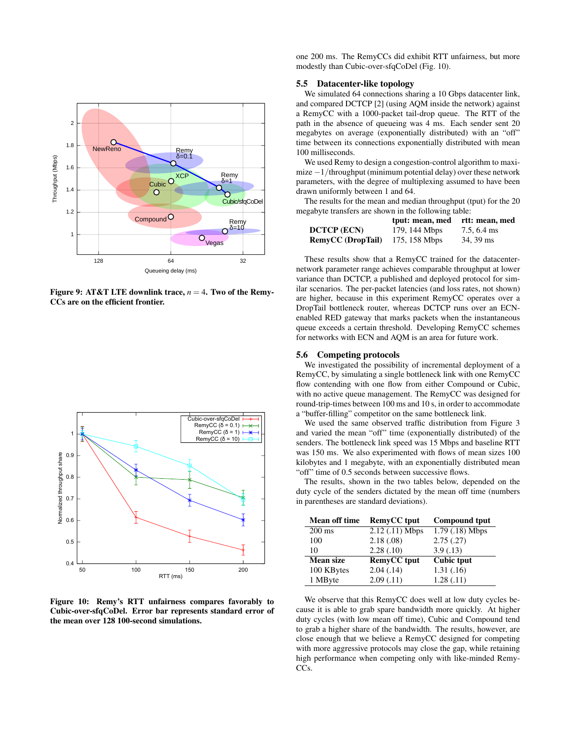

Figure 9: AT&T LTE downlink trace,  $n = 4$ . Two of the Remy-CCs are on the efficient frontier.



<span id="page-9-0"></span>Figure 10: Remy's RTT unfairness compares favorably to Cubic-over-sfqCoDel. Error bar represents standard error of the mean over 128 100-second simulations.

one 200 ms. The RemyCCs did exhibit RTT unfairness, but more modestly than Cubic-over-sfqCoDel (Fig. [10\)](#page-9-0).

## 5.5 Datacenter-like topology

We simulated 64 connections sharing a 10 Gbps datacenter link, and compared DCTCP [\[2\]](#page-11-11) (using AQM inside the network) against a RemyCC with a 1000-packet tail-drop queue. The RTT of the path in the absence of queueing was 4 ms. Each sender sent 20 megabytes on average (exponentially distributed) with an "off" time between its connections exponentially distributed with mean 100 milliseconds.

We used Remy to design a congestion-control algorithm to maximize  $-1$ /throughput (minimum potential delay) over these network parameters, with the degree of multiplexing assumed to have been drawn uniformly between 1 and 64.

The results for the mean and median throughput (tput) for the 20 megabyte transfers are shown in the following table:

|                          | tput: mean, med | rtt: mean, med        |
|--------------------------|-----------------|-----------------------|
| <b>DCTCP</b> (ECN)       | 179, 144 Mbps   | $7.5, 6.4 \text{ ms}$ |
| <b>RemyCC</b> (DropTail) | 175, 158 Mbps   | 34, 39 ms             |

These results show that a RemyCC trained for the datacenternetwork parameter range achieves comparable throughput at lower variance than DCTCP, a published and deployed protocol for similar scenarios. The per-packet latencies (and loss rates, not shown) are higher, because in this experiment RemyCC operates over a DropTail bottleneck router, whereas DCTCP runs over an ECNenabled RED gateway that marks packets when the instantaneous queue exceeds a certain threshold. Developing RemyCC schemes for networks with ECN and AQM is an area for future work.

#### 5.6 Competing protocols

We investigated the possibility of incremental deployment of a RemyCC, by simulating a single bottleneck link with one RemyCC flow contending with one flow from either Compound or Cubic, with no active queue management. The RemyCC was designed for round-trip-times between 100 ms and 10 s, in order to accommodate a "buffer-filling" competitor on the same bottleneck link.

We used the same observed traffic distribution from Figure [3](#page-6-0) and varied the mean "off" time (exponentially distributed) of the senders. The bottleneck link speed was 15 Mbps and baseline RTT was 150 ms. We also experimented with flows of mean sizes 100 kilobytes and 1 megabyte, with an exponentially distributed mean "off" time of 0.5 seconds between successive flows.

The results, shown in the two tables below, depended on the duty cycle of the senders dictated by the mean off time (numbers in parentheses are standard deviations).

| Mean off time    | <b>RemyCC</b> tput | Compound tput       |
|------------------|--------------------|---------------------|
| $200 \text{ ms}$ | $2.12$ (.11) Mbps  | $1.79$ $(.18)$ Mbps |
| 100              | 2.18(.08)          | 2.75(.27)           |
| 10               | 2.28(.10)          | 3.9(0.13)           |
| <b>Mean size</b> | <b>RemyCC</b> tput | <b>Cubic tput</b>   |
| 100 KBytes       | 2.04(0.14)         | 1.31(0.16)          |
| 1 MByte          | 2.09(0.11)         | 1.28(0.11)          |

We observe that this RemyCC does well at low duty cycles because it is able to grab spare bandwidth more quickly. At higher duty cycles (with low mean off time), Cubic and Compound tend to grab a higher share of the bandwidth. The results, however, are close enough that we believe a RemyCC designed for competing with more aggressive protocols may close the gap, while retaining high performance when competing only with like-minded Remy-CCs.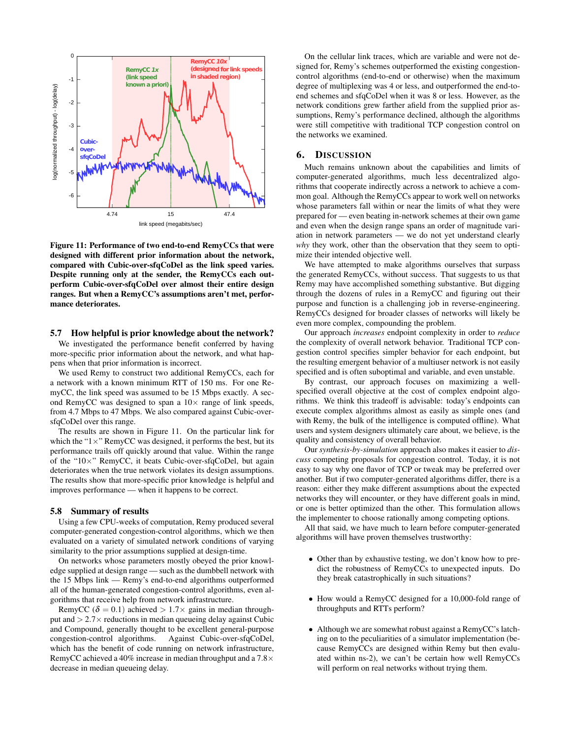

<span id="page-10-0"></span>Figure 11: Performance of two end-to-end RemyCCs that were designed with different prior information about the network, compared with Cubic-over-sfqCoDel as the link speed varies. Despite running only at the sender, the RemyCCs each outperform Cubic-over-sfqCoDel over almost their entire design ranges. But when a RemyCC's assumptions aren't met, performance deteriorates.

#### 5.7 How helpful is prior knowledge about the network?

We investigated the performance benefit conferred by having more-specific prior information about the network, and what happens when that prior information is incorrect.

We used Remy to construct two additional RemyCCs, each for a network with a known minimum RTT of 150 ms. For one RemyCC, the link speed was assumed to be 15 Mbps exactly. A second RemyCC was designed to span a  $10\times$  range of link speeds, from 4.7 Mbps to 47 Mbps. We also compared against Cubic-oversfqCoDel over this range.

The results are shown in Figure [11.](#page-10-0) On the particular link for which the " $1 \times$ " RemyCC was designed, it performs the best, but its performance trails off quickly around that value. Within the range of the "10×" RemyCC, it beats Cubic-over-sfqCoDel, but again deteriorates when the true network violates its design assumptions. The results show that more-specific prior knowledge is helpful and improves performance — when it happens to be correct.

## 5.8 Summary of results

Using a few CPU-weeks of computation, Remy produced several computer-generated congestion-control algorithms, which we then evaluated on a variety of simulated network conditions of varying similarity to the prior assumptions supplied at design-time.

On networks whose parameters mostly obeyed the prior knowledge supplied at design range — such as the dumbbell network with the 15 Mbps link — Remy's end-to-end algorithms outperformed all of the human-generated congestion-control algorithms, even algorithms that receive help from network infrastructure.

RemyCC ( $\delta = 0.1$ ) achieved > 1.7× gains in median throughput and  $> 2.7 \times$  reductions in median queueing delay against Cubic and Compound, generally thought to be excellent general-purpose congestion-control algorithms. Against Cubic-over-sfqCoDel, which has the benefit of code running on network infrastructure, RemyCC achieved a 40% increase in median throughput and a  $7.8\times$ decrease in median queueing delay.

On the cellular link traces, which are variable and were not designed for, Remy's schemes outperformed the existing congestioncontrol algorithms (end-to-end or otherwise) when the maximum degree of multiplexing was 4 or less, and outperformed the end-toend schemes and sfqCoDel when it was 8 or less. However, as the network conditions grew farther afield from the supplied prior assumptions, Remy's performance declined, although the algorithms were still competitive with traditional TCP congestion control on the networks we examined.

#### 6. DISCUSSION

Much remains unknown about the capabilities and limits of computer-generated algorithms, much less decentralized algorithms that cooperate indirectly across a network to achieve a common goal. Although the RemyCCs appear to work well on networks whose parameters fall within or near the limits of what they were prepared for — even beating in-network schemes at their own game and even when the design range spans an order of magnitude variation in network parameters — we do not yet understand clearly *why* they work, other than the observation that they seem to optimize their intended objective well.

We have attempted to make algorithms ourselves that surpass the generated RemyCCs, without success. That suggests to us that Remy may have accomplished something substantive. But digging through the dozens of rules in a RemyCC and figuring out their purpose and function is a challenging job in reverse-engineering. RemyCCs designed for broader classes of networks will likely be even more complex, compounding the problem.

Our approach *increases* endpoint complexity in order to *reduce* the complexity of overall network behavior. Traditional TCP congestion control specifies simpler behavior for each endpoint, but the resulting emergent behavior of a multiuser network is not easily specified and is often suboptimal and variable, and even unstable.

By contrast, our approach focuses on maximizing a wellspecified overall objective at the cost of complex endpoint algorithms. We think this tradeoff is advisable: today's endpoints can execute complex algorithms almost as easily as simple ones (and with Remy, the bulk of the intelligence is computed offline). What users and system designers ultimately care about, we believe, is the quality and consistency of overall behavior.

Our *synthesis-by-simulation* approach also makes it easier to *discuss* competing proposals for congestion control. Today, it is not easy to say why one flavor of TCP or tweak may be preferred over another. But if two computer-generated algorithms differ, there is a reason: either they make different assumptions about the expected networks they will encounter, or they have different goals in mind, or one is better optimized than the other. This formulation allows the implementer to choose rationally among competing options.

All that said, we have much to learn before computer-generated algorithms will have proven themselves trustworthy:

- Other than by exhaustive testing, we don't know how to predict the robustness of RemyCCs to unexpected inputs. Do they break catastrophically in such situations?
- How would a RemyCC designed for a 10,000-fold range of throughputs and RTTs perform?
- Although we are somewhat robust against a RemyCC's latching on to the peculiarities of a simulator implementation (because RemyCCs are designed within Remy but then evaluated within ns-2), we can't be certain how well RemyCCs will perform on real networks without trying them.